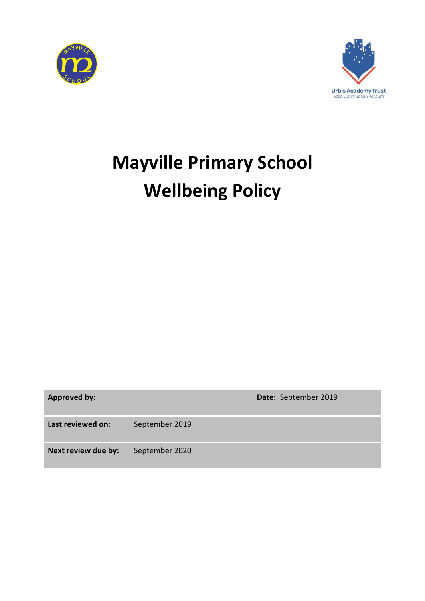



# **Mayville Primary School Wellbeing Policy**

**Approved by: Date:** September 2019

**Last reviewed on:** September 2019

**Next review due by:** September 2020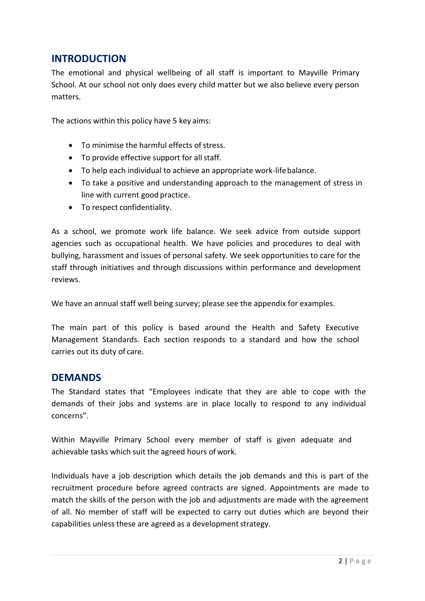#### **INTRODUCTION**

The emotional and physical wellbeing of all staff is important to Mayville Primary School. At our school not only does every child matter but we also believe every person matters.

The actions within this policy have 5 key aims:

- To minimise the harmful effects of stress.
- To provide effective support for all staff.
- To help each individual to achieve an appropriate work-lifebalance.
- To take a positive and understanding approach to the management of stress in line with current good practice.
- To respect confidentiality.

As a school, we promote work life balance. We seek advice from outside support agencies such as occupational health. We have policies and procedures to deal with bullying, harassment and issues of personal safety. We seek opportunities to care for the staff through initiatives and through discussions within performance and development reviews.

We have an annual staff well being survey; please see the appendix for examples.

The main part of this policy is based around the Health and Safety Executive Management Standards. Each section responds to a standard and how the school carries out its duty of care.

#### **DEMANDS**

The Standard states that "Employees indicate that they are able to cope with the demands of their jobs and systems are in place locally to respond to any individual concerns".

Within Mayville Primary School every member of staff is given adequate and achievable tasks which suit the agreed hours of work.

Individuals have a job description which details the job demands and this is part of the recruitment procedure before agreed contracts are signed. Appointments are made to match the skills of the person with the job and adjustments are made with the agreement of all. No member of staff will be expected to carry out duties which are beyond their capabilities unless these are agreed as a development strategy.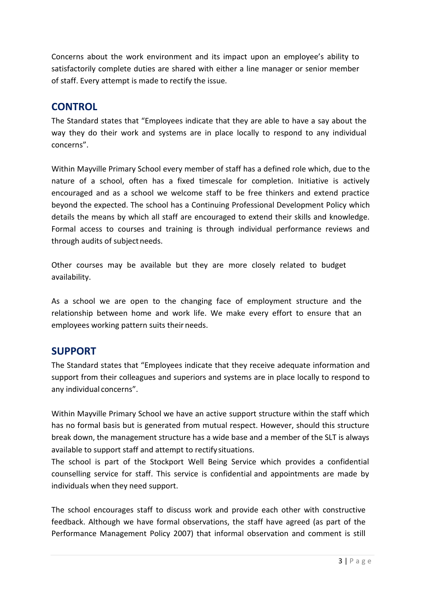Concerns about the work environment and its impact upon an employee's ability to satisfactorily complete duties are shared with either a line manager or senior member of staff. Every attempt is made to rectify the issue.

#### **CONTROL**

The Standard states that "Employees indicate that they are able to have a say about the way they do their work and systems are in place locally to respond to any individual concerns".

Within Mayville Primary School every member of staff has a defined role which, due to the nature of a school, often has a fixed timescale for completion. Initiative is actively encouraged and as a school we welcome staff to be free thinkers and extend practice beyond the expected. The school has a Continuing Professional Development Policy which details the means by which all staff are encouraged to extend their skills and knowledge. Formal access to courses and training is through individual performance reviews and through audits of subject needs.

Other courses may be available but they are more closely related to budget availability.

As a school we are open to the changing face of employment structure and the relationship between home and work life. We make every effort to ensure that an employees working pattern suits their needs.

### **SUPPORT**

The Standard states that "Employees indicate that they receive adequate information and support from their colleagues and superiors and systems are in place locally to respond to any individual concerns".

Within Mayville Primary School we have an active support structure within the staff which has no formal basis but is generated from mutual respect. However, should this structure break down, the management structure has a wide base and a member of the SLT is always available to support staff and attempt to rectify situations.

The school is part of the Stockport Well Being Service which provides a confidential counselling service for staff. This service is confidential and appointments are made by individuals when they need support.

The school encourages staff to discuss work and provide each other with constructive feedback. Although we have formal observations, the staff have agreed (as part of the Performance Management Policy 2007) that informal observation and comment is still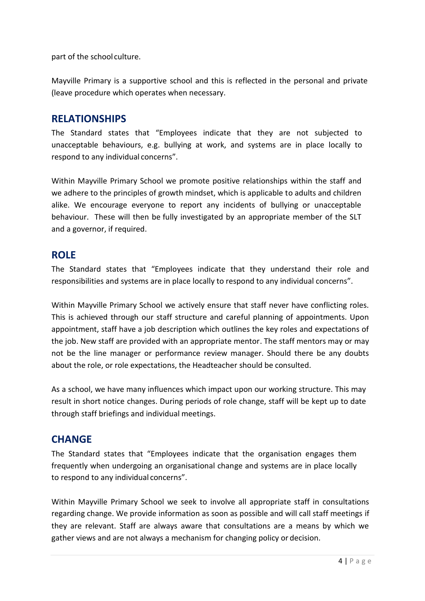part of the school culture.

Mayville Primary is a supportive school and this is reflected in the personal and private (leave procedure which operates when necessary.

#### **RELATIONSHIPS**

The Standard states that "Employees indicate that they are not subjected to unacceptable behaviours, e.g. bullying at work, and systems are in place locally to respond to any individual concerns".

Within Mayville Primary School we promote positive relationships within the staff and we adhere to the principles of growth mindset, which is applicable to adults and children alike. We encourage everyone to report any incidents of bullying or unacceptable behaviour. These will then be fully investigated by an appropriate member of the SLT and a governor, if required.

#### **ROLE**

The Standard states that "Employees indicate that they understand their role and responsibilities and systems are in place locally to respond to any individual concerns".

Within Mayville Primary School we actively ensure that staff never have conflicting roles. This is achieved through our staff structure and careful planning of appointments. Upon appointment, staff have a job description which outlines the key roles and expectations of the job. New staff are provided with an appropriate mentor. The staff mentors may or may not be the line manager or performance review manager. Should there be any doubts about the role, or role expectations, the Headteacher should be consulted.

As a school, we have many influences which impact upon our working structure. This may result in short notice changes. During periods of role change, staff will be kept up to date through staff briefings and individual meetings.

### **CHANGE**

The Standard states that "Employees indicate that the organisation engages them frequently when undergoing an organisational change and systems are in place locally to respond to any individual concerns".

Within Mayville Primary School we seek to involve all appropriate staff in consultations regarding change. We provide information as soon as possible and will call staff meetings if they are relevant. Staff are always aware that consultations are a means by which we gather views and are not always a mechanism for changing policy or decision.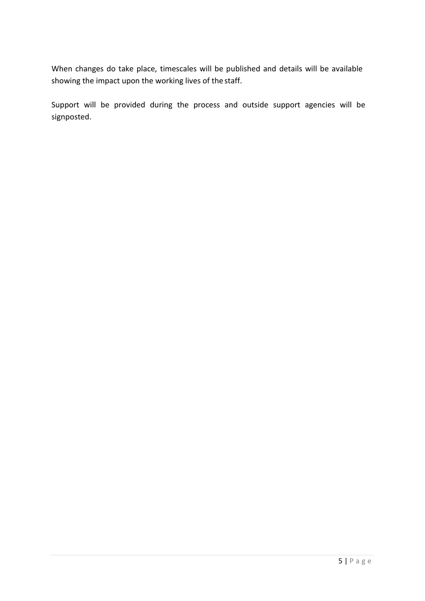When changes do take place, timescales will be published and details will be available showing the impact upon the working lives of the staff.

Support will be provided during the process and outside support agencies will be signposted.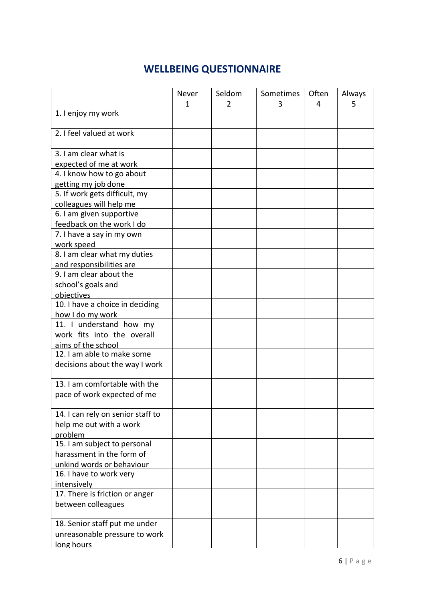## **WELLBEING QUESTIONNAIRE**

|                                   | Never | Seldom | Sometimes | Often | Always |
|-----------------------------------|-------|--------|-----------|-------|--------|
| 1. I enjoy my work                | 1     | 2      | 3         | 4     | 5      |
|                                   |       |        |           |       |        |
| 2. I feel valued at work          |       |        |           |       |        |
|                                   |       |        |           |       |        |
| 3. I am clear what is             |       |        |           |       |        |
| expected of me at work            |       |        |           |       |        |
| 4. I know how to go about         |       |        |           |       |        |
| getting my job done               |       |        |           |       |        |
| 5. If work gets difficult, my     |       |        |           |       |        |
| colleagues will help me           |       |        |           |       |        |
| 6. I am given supportive          |       |        |           |       |        |
| feedback on the work I do         |       |        |           |       |        |
| 7. I have a say in my own         |       |        |           |       |        |
| work speed                        |       |        |           |       |        |
| 8. I am clear what my duties      |       |        |           |       |        |
| and responsibilities are          |       |        |           |       |        |
| 9. I am clear about the           |       |        |           |       |        |
| school's goals and                |       |        |           |       |        |
| objectives                        |       |        |           |       |        |
| 10. I have a choice in deciding   |       |        |           |       |        |
| how I do my work                  |       |        |           |       |        |
| 11. I understand how my           |       |        |           |       |        |
| work fits into the overall        |       |        |           |       |        |
| aims of the school                |       |        |           |       |        |
| 12. I am able to make some        |       |        |           |       |        |
| decisions about the way I work    |       |        |           |       |        |
|                                   |       |        |           |       |        |
| 13. I am comfortable with the     |       |        |           |       |        |
| pace of work expected of me       |       |        |           |       |        |
|                                   |       |        |           |       |        |
| 14. I can rely on senior staff to |       |        |           |       |        |
| help me out with a work           |       |        |           |       |        |
| problem                           |       |        |           |       |        |
| 15. I am subject to personal      |       |        |           |       |        |
| harassment in the form of         |       |        |           |       |        |
| unkind words or behaviour         |       |        |           |       |        |
| 16. I have to work very           |       |        |           |       |        |
| intensively                       |       |        |           |       |        |
| 17. There is friction or anger    |       |        |           |       |        |
| between colleagues                |       |        |           |       |        |
| 18. Senior staff put me under     |       |        |           |       |        |
| unreasonable pressure to work     |       |        |           |       |        |
| long hours                        |       |        |           |       |        |